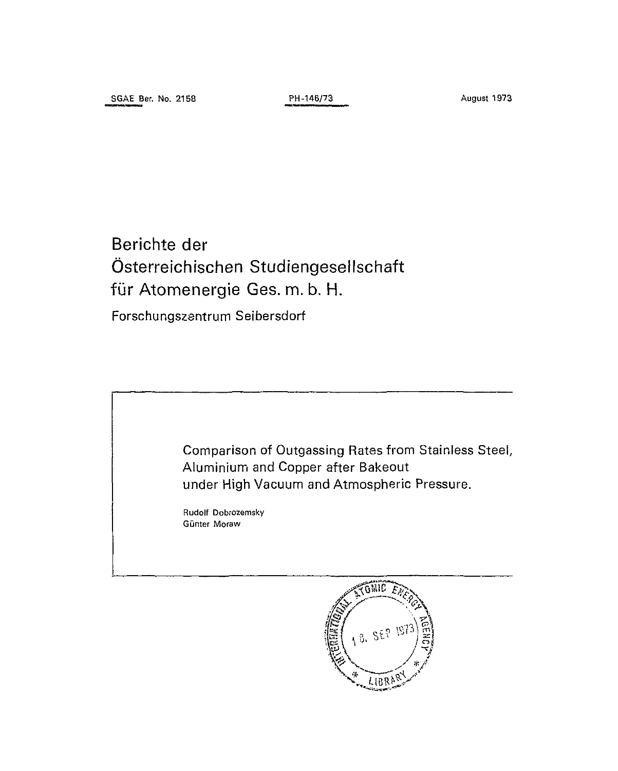Berichte der Österreichischen Studiengeseilschaft für Atomenergie Ges. m. b. H.

Forschungszentrum Seibersdorf



 $L$  $B$  $R$  $\}$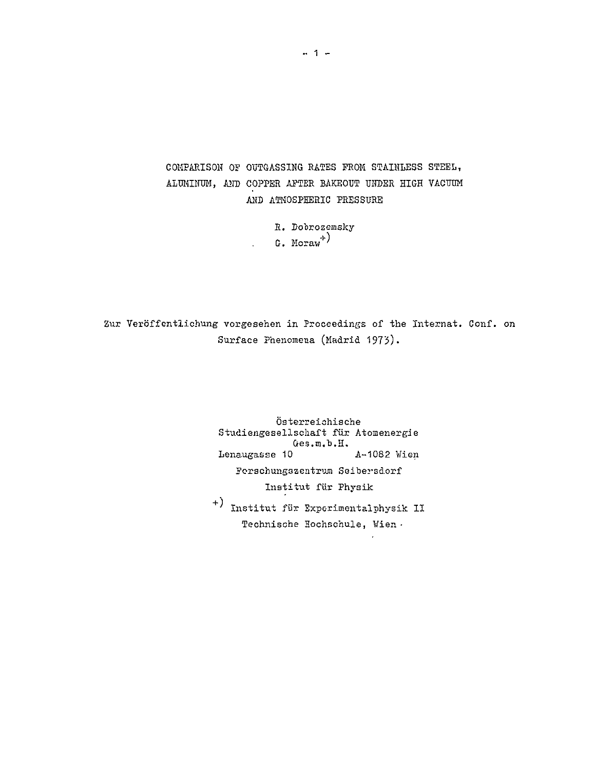COMPARISON OF OUTGASSING RATES PROM STAINLESS STEEL, ALUMINUM, AND COPPER AFTER BAKEOUT UNDER HIGH VACUUM AND ATMOSPHERIC PRESSURE

> R. Dobrozemsky  $G.$  Moraw<sup>+</sup>)

 $\mathbb{R}^{\mathbb{Z}^2}$ 

Zur Veröffentlichung vorgesehen in Proceedings of the Internat. Conf. on Surface Phenomena (Madrid 1975).

> Österreichische Studiengesellschaft für Atomenergie Ges.m.b.H. Lenaugasse 10 A-1082 Wien Forschungszentrum Seibersdorf Institut für Physik ' Institut für Experimentalphysik II Technische Hochschule, Wien -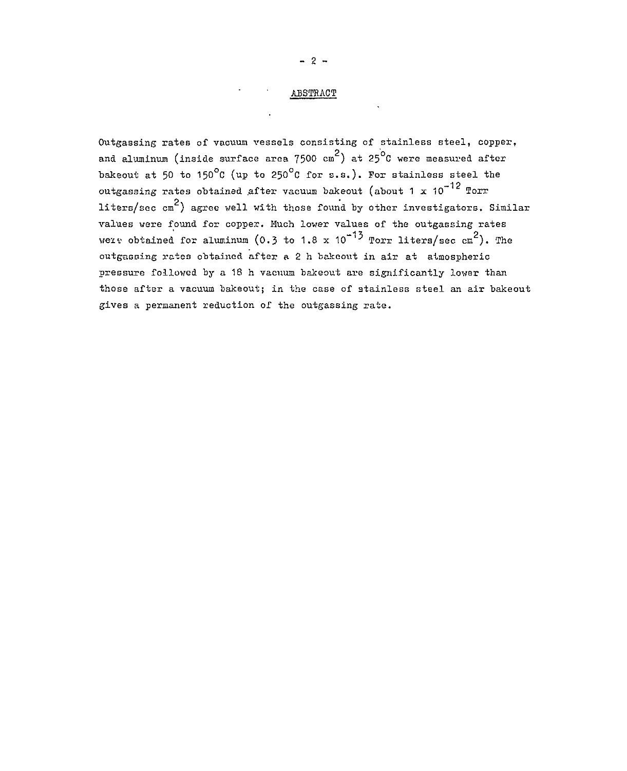# ABSTRACT

Outgassing rates of vacuum vessels consisting of stainless steel, copper, and aluminum (inside surface area 7500 cm<sup>2</sup>) at 25<sup>o</sup>C were measured after bakeout at 50 to 150°C (up to 250°C for s.s.). For stainless steel the outgassing rates obtained after vacuum bakeout (about 1 x 10 $^{\tt -12}$  Torr liters/sec cm<sup>2</sup>) agree well with those found by other investigators. Similar values were found for copper. Much lower values of the outgassing rates were obtained for aluminum (0.3 to 1.8 x  $10^{-13}$  Torr liters/sec cm<sup>2</sup>). The out-gassing rates obtained after a 2 h bakeout in air at atmospheric pressure followed by a 18 h vacuum bakeout are significantly lower than those after a vacuum bakeout; in the case of stainless steel an air bakeout gives a permanent reduction of the outgassing rate.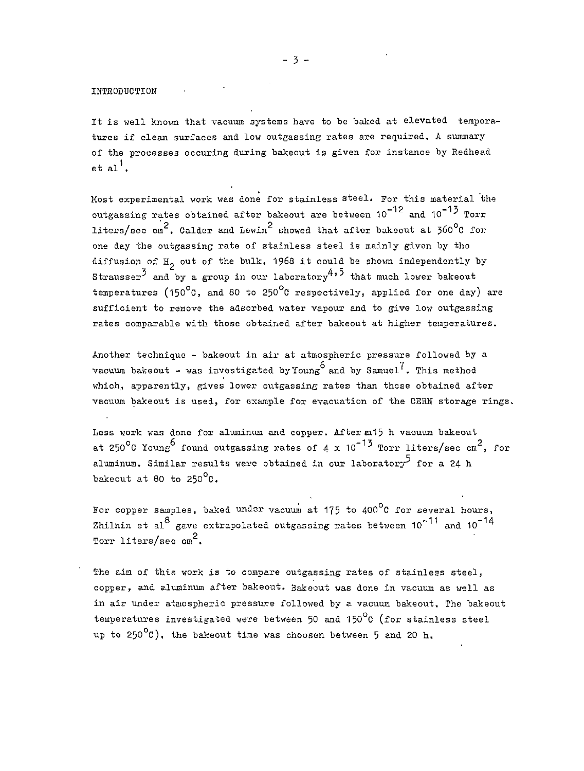### INTRODUCTION

It is well known that vacuum systems have to be baked at elevated temperatures if clean surfaces and low outgassing rates are required. A summary of the processes occuring during bakeout is given for instance by Redhead  $et$  al'.

Most experimental work was done for stainless steel. For this material the outgassing rates obtained after bakeout are between 10 $^{\texttt{-12}}$  and 10 $^{\texttt{-13}}$  Torr  $\frac{2}{2}$  p  $\frac{1}{2}$  p  $\frac{2}{2}$  p  $\frac{1}{2}$  p  $\frac{1}{2}$  p  $\frac{1}{2}$  p  $\frac{1}{2}$  p  $\frac{1}{2}$  p  $\frac{1}{2}$  p  $\frac{1}{2}$ liters/sec cm<sup>2</sup>. Calder and Lewin<sup>2</sup> showed that after bakeout at 360°C for one day the outgassing rate of stainless steel is mainly given by the diffusion of  $H_2$  out of the bulk. 1968 it could be shown independently by Strausser<sup>3</sup> and by a group in our laboratory<sup>4,5</sup> that much lower bakeout temperatures (150 $^{\circ}$ C, and 80 to 250 $^{\circ}$ C respectively, applied for one day) are sufficient to remove the adsorbed water vapour and to give low outgassing rates comparable with those obtained after bakeout at higher temperatures.

Another technique - bakeout in air at atmospheric pressure followed by a vacuum bakeout - was investigated by Young and by Samuel<sup>7</sup>. This method which, apparently, gives lower outgassing rates than these obtained after vacuum bakeout is used, for example for evacuation of the CERN storage rings.

Less work was done for aluminum and copper. After a15 h vacuum bakeout at 250<sup>o</sup>C Young found outgassing rates of 4 x 10<sup>-13</sup> Torr liters/sec cm<sup>2</sup>, for aluminum. Similar results were obtained in our laborator $y^5$  for a 24 h bakeout at 80 to  $250^{\circ}$ C.

For copper samples, baked under vacuum at  $175$  to  $400^{\circ}$ C for several hours, Zhilnin et al<sup>8</sup> gave extrapolated outgassing rates between  $10^{-11}$  and  $10^{-14}$ Torr liters/sec cm<sup>2</sup>.

The aim of this work is to compare outgassing rates of stainless steel, copper, and aluminum after bakeout. Bakeout was done in vacuum as well as in air under atmospheric pressure followed by a vacuum bakeout. The bakeout temperatures investigated were between 50 and 150 $^{\circ}$ C (for stainless steel up to 250 $\mathrm{^{o}c}$ ), the bakeout time was choosen between 5 and 20 h.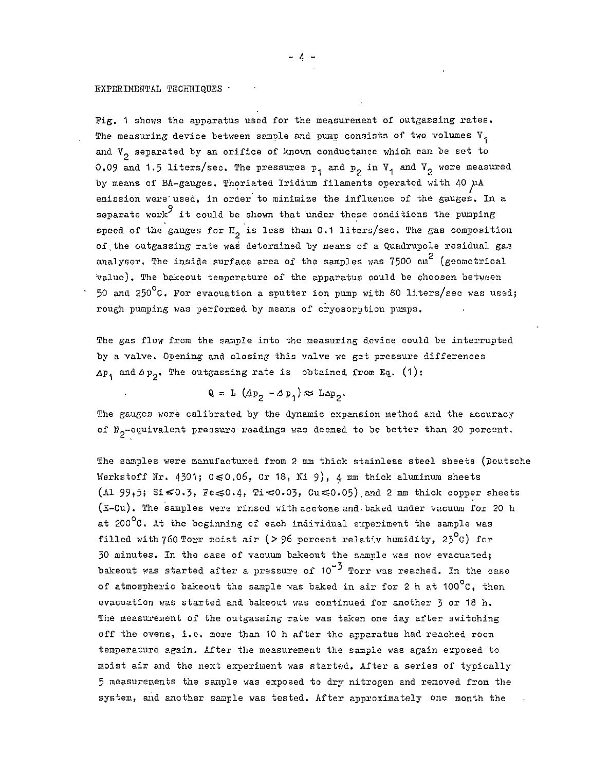### EXPERIMENTAL TECHNIQUES ·

Fig. 1 shows the apparatus used for the measurement of outgassing rates. The measuring device between sample and pump consists of two volumes V, and  $V_p$  separated by an orifice of known conductance which can be set to 0.09 and 1.5 liters/sec. The pressures  $p_1$  and  $p_2$  in  $V_1$  and  $V_2$  were measured by means of BA-gauges. Thoriated Iridium filaments operated with 40 µA emission were used, in order to minimize the influence of the gauges. In a separate work it could be shown that under these conditions the pumping speed of the gauges for  $H_p$  is less than 0.1 liters/sec. The gas composition of .the outgassing rate was determined by means of a Quadrupole residual gas analyser. The inside surface area of the samples was 7500 cm<sup>2</sup> (geometrical value). The bakeout temperature of the apparatus could be choosen between 50 and 250 $^{\circ}$ C. For evacuation a sputter ion pump with 80 liters/sec was used; rough pumping was performed by means of cryosorption pumps.

The gas flow from the sample into the measuring device could be interrupted by a valve. Opening and closing this valve we get pressure differences  $\Delta p_1$  and  $\Delta p_2$ . The outgassing rate is obtained from Eq. (1):

$$
Q = L (\mathbf{dp}_2 - \mathbf{dp}_1) \approx L \mathbf{dp}_2.
$$

The gauges were calibrated by the dynamic expansion method and the accuracy of  $N_p$ -equivalent pressure readings was deemed to be better than 20 percent.

The samples were manufactured from 2 mm thick stainless steel sheets (Deutsche Werkstoff Nr. 4301;  $0 \le 0.06$ , Cr 18, Ni 9), 4 mm thick aluminum sheets (Al 99,5; Si $\leq 0.3$ , Fe $\leq 0.4$ , Ti $\leq 0.03$ , Cu $\leq 0.05$ ) and 2 mm thick copper sheets (E-CU) . The samples were rinsed v;ith acetone and- baked under vacuum for 20 h at  $200^{\circ}$ C. At the beginning of each individual experiment the sample was filled with 760 Torr moist air (> 96 percent relativ humidity, 23 $^{\circ}$ C) for 50 minutes. In the case of vacuum bakeout the sample was now evacuated; \_2 bakeout was started after a pressure of  $10^{-3}$  Torr was reached. In the case of atmospheric bakeout the sample was baked in air for 2 h at  $100^{\circ}$ C, then evacuation was started and bakeout was continued for another J or 18 h. The measurement of the outgassing rate was taken one day after switching off the ovens, i.e. more than 10 h after the apparatus had reached room temperature again. After the measurement the sample was again exposed to moist air and the next experiment was started. After a series of typically 5 measurements the sample was exposed to dry nitrogen and removed from the system, and another sample was tested. After approximately one month the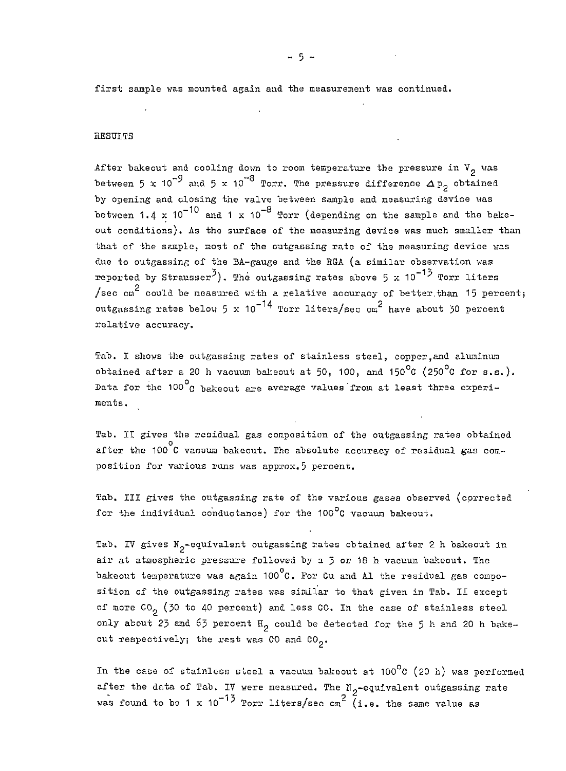first sample was mounted again and the measurement was continued.

### RESULTS

After bakeout and cooling down to room temperature the pressure in  $V^2$  was between 5 x 10<sup>-9</sup> and 5 x 10<sup>-8</sup> Torr. The pressure difference  $\Delta p_{2}$  obtained by opening and closing the valve between sample and measuring device was between 1.4 x  $10^{-10}$  and 1 x  $10^{-8}$  Torr (depending on the sample and the bakeout conditions). As the surface of the measuring device was much smaller than that of the sample, most of the outgassing rate of the measuring device was due to outgassing of the 3A-gauge and the EGA (a similar observation was reported by Strausser<sup>3</sup>). The outgassing rates above 5 x 10<sup>-13</sup> Torr liters O /sec  $cn<sup>2</sup>$  could be measured with a relative accuracy of better than 15 percent; outgassing rates below 5 x 10<sup>-14</sup> Torr liters/sec cm<sup>2</sup> have about 30 percent relative accuracy.

Tab. I shows the outgassing rates of stainless steel, copper,and aluminum obtained after a 20 h vacuum bakeout at 50, 100, and 150 $^{\circ}$ C (250 $^{\circ}$ C for s.s.). Data for the  $100^{\circ}$  bakeout are average values from at least three experiments.

Tab. IT gives the residual gas composition of the outgassing rates obtained after the 100 C vacuum bakeout. The absolute accuracy of residual gas composition for various runs was approx.5 percent.

Tab. Ill gives the outgascing rate of the various gases observed (corrected for the individual conductance) for the 100 $^{\circ}$ C vacuum bakeout.

Tab. IV gives  $N^{\text{2-equivalent}}$  outgassing rates obtained after 2 h bakeout in air at atmospheric pressure followed by a  $\tilde{y}$  or 18 h vacuum bakeout. The bakeout temperature was again 100 $^{\circ}$ C. For Cu and Al the residual gas composition of the outgassing rates was similar to that given in Tab. II except of more  $CO_2$  (30 to 40 percent) and less CO. In the case of stainless steel. only about 23 and 63 percent  $H_2$  could be detected for the 5 h and 20 h bakeout respectively; the rest was  $CO$  and  $CO_{2}$ .

In the case of stainless steel a vacuum bakeout at  $100^{\circ}$ C (20 h) was performed after the data of Tab. IV were measured. The  $N_p$ -equivalent outgassing rate was found to be 1 x 10<sup>-13</sup> Torr liters/sec cm<sup>2</sup> (i.e. the same value as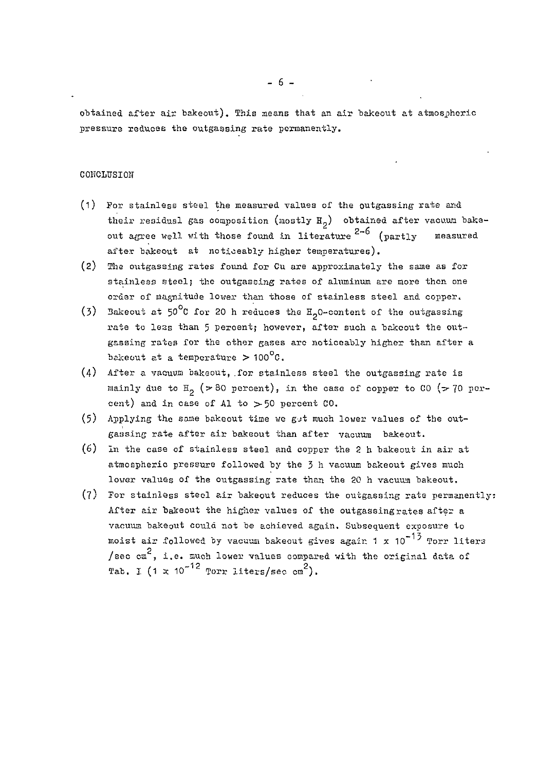obtained after air bakeout). This means that an air bakeout at atmospheric pressure reduces the outgassing rate permanently.

## CONCLUSION

- (1) For stainless steel the measured values of the outgassing rate and their residual gas composition (mostly  $H_2$ ) obtained after vacuum bakeout agree well with those found in literature 2-6 (partly measured after bakeout at noticeably higher temperatures).
- (2) The outgassing rates found for Cu are approximately the same as for stainless steel; the outgassing rates of aluminum are more then one order of magnitude lower than those of stainless steel and copper.
- (3) Bakeout at  $50^{\circ}$ C for 20 h reduces the  $H_2$ O-content of the outgassing rate to less than 5 percent; however, after such a bakeout the outgassing rates for the other gases are noticeably higher than after a bakeout at a temperature  $> 100^{\circ}$ C.
- $(4)$  After a vacuum bakeout, for stainless steel the outgassing rate is mainly due to  $H_0$  (>80 percent), in the case of copper to CO (>70 percent) and in case of Al to  $>50$  percent  $0.0$ .
- (5) Applying the same bakeout time we get much lower values of the outgassing rate after air bakeout than after vacuum bakeout.
- (6) In the case of stainless steel and copper the 2 h bakeout in air at atmospheric pressure followed by the 3 h vacuum bakeout gives much lower values of the outgassing rate than the 20 h vacuum bakeout.
- $(7)$  For stainless steel air bakeout reduces the outgassing rate permanently: After air bakeout the higher values of the outgassing rates after a vacuum bakeout could not be achieved again. Subsequent exposure to moist air followed by vacuum bakeout gives again 1 x 10<sup>-13</sup> Torr liters O /sec  $ca<sup>c</sup>$ , i.e. much lower values compared with the original data of  $\frac{1}{2}$  rab. I (1 x 10<sup>-12</sup> Torr liters/sec cm<sup>2</sup>).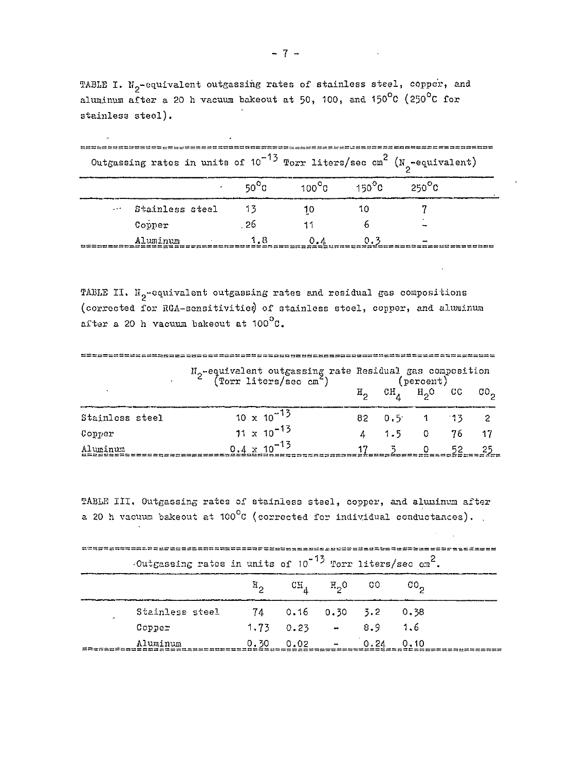TABLE I.  $N_2$ -equivalent outgassing rates of stainless steel, copper, and aluminum after a 20 h vacuum bakeout at 50, 100, and 150 $^{\circ}$ C (250 $^{\circ}$ C for stainless steel).

| Outgassing rates in units of $10^{-13}$ Torr liters/sec cm <sup>2</sup> (N <sub>2</sub> -equivalent) |                 |  |      |    |     |     |                                                                |  |
|------------------------------------------------------------------------------------------------------|-----------------|--|------|----|-----|-----|----------------------------------------------------------------|--|
|                                                                                                      |                 |  |      |    |     |     | $50^{\circ}$ C $100^{\circ}$ C $150^{\circ}$ C $250^{\circ}$ C |  |
|                                                                                                      | Stainless steel |  | - 13 | 10 |     |     |                                                                |  |
|                                                                                                      | Copper          |  | -26  |    |     |     |                                                                |  |
|                                                                                                      | Aluminum        |  | 1.8  |    | 0.4 | 0.3 |                                                                |  |

TABLE II.  $\text{H}_{2}$ -equivalent outgassing rates and residual gas compositions (corrected for RGA-sensitivities) of stainless steel, copper, and aluminum after a 20 h vacuum bakeout at 100<sup>0</sup>C.

|                 | I <sub>2</sub> -equivalent outgassing rate Residual gas composition<br>(Torr liters/sec cm <sup>2</sup> ) (percent) |  |                                                             |  |  |  |  |  |
|-----------------|---------------------------------------------------------------------------------------------------------------------|--|-------------------------------------------------------------|--|--|--|--|--|
|                 |                                                                                                                     |  | $H_2$ CH <sub>A</sub> $H_2$ <sup>O</sup> CC CO <sub>2</sub> |  |  |  |  |  |
| Stainless steel | $10 \times 10^{-13}$                                                                                                |  | 82 0.5 1 13 2                                               |  |  |  |  |  |
| Copper          | $11 \times 10^{-13}$                                                                                                |  | 4 1.5 0 76 17                                               |  |  |  |  |  |
| Aluminum        | $9.4 \times 10^{-13}$                                                                                               |  | 17 3 0 52                                                   |  |  |  |  |  |

TABLE III. Outgassing rates of stainless steel, copper, and aluninum after a 20 h vacuum bakeout at  $100^{\circ}$ C (corrected for individual conductances).

| Outgassing rates in units of $10^{-15}$ Torr liters/sec $ca^2$ . | 본분 법생일품 발표 발표 중국 불교 등 출출 활동 등 본 학원 등 등 높 등 학생 등 등 할 일 방 등 할 등 할 등 할 동 |                                         |  |  |
|------------------------------------------------------------------|-----------------------------------------------------------------------|-----------------------------------------|--|--|
|                                                                  |                                                                       | $H_2$ $CH_4$ $H_2$ 0 00 00 <sub>2</sub> |  |  |
| Stainless steel                                                  |                                                                       | 74 0.16 0.30 3.2 0.38                   |  |  |
| Copper                                                           |                                                                       | $1,73$ 0.23 - 8.9 1.6                   |  |  |
| Aluminum                                                         |                                                                       | $0.30$ $0.02$ $ 0.24$ $0.10$            |  |  |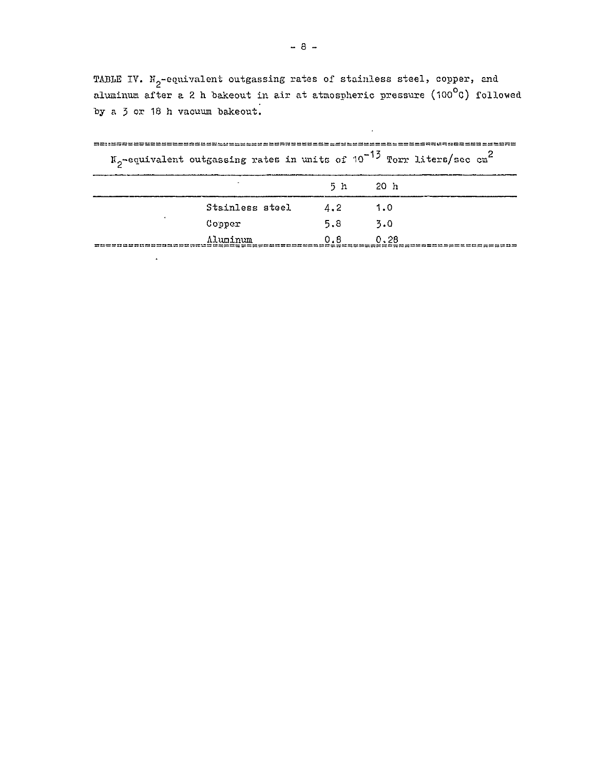TABLE IV.  $M_2$ -equivalent outgassing rates of stainless steel, copper, and aluminum after a 2 h bakeout in air at atmospheric pressure (100<sup>0</sup>C) followed by a  $\frac{1}{3}$  or 18 h vacuum bakeout.

 $\mathcal{A}$ 

|                 |     | $N_{\alpha}$ -equivalent outgassing rates in units of 10 $\degree$ Torr liters/sec cm |  |
|-----------------|-----|---------------------------------------------------------------------------------------|--|
|                 | 5 h | 20 h                                                                                  |  |
| Stainless steel | 4.2 | 1.0                                                                                   |  |
| Copper          | 5.8 | 3.0                                                                                   |  |
| Aluminum        | 0.8 | 0.28                                                                                  |  |

 $\Delta$ 

 $\texttt{N}_{2}$ -equivalent outgassing rates in units of  $10^{-12}$  Torr liters/sec cm<sup>2</sup>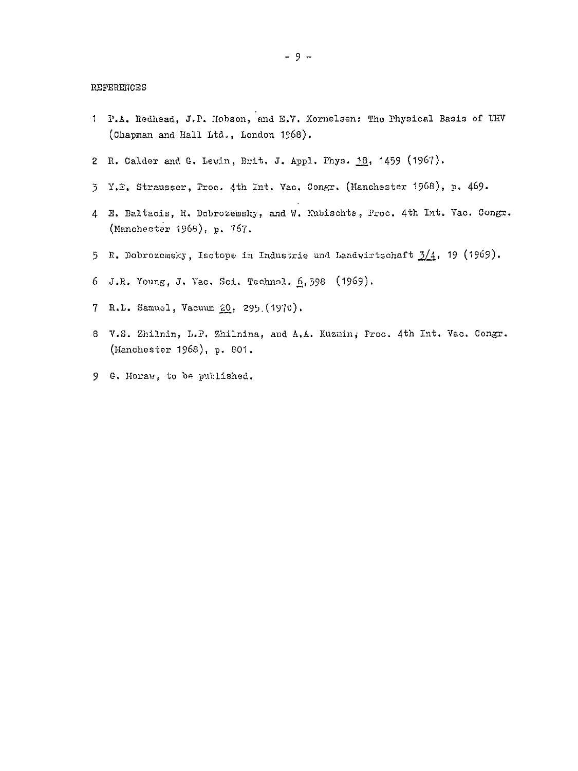#### REFERENCES

- 1 P.A. Redhead, J.P. Hobson, and E.V. Kornelsen: The Physical Basis of UHV (Chapman and Hall Ltd., London 1968).
- 2 R. Calder and G. Lewin, Brit. J. Appl. Phys. 18, 1459 (1967).
- 5 Y.E. Strausser, Proc. 4th Int. Vac. Congr. (Manchester 1968), p. 469.
- 4 E. Baltacis, R. Dobrozemsky, and W. Kubischta, Proc. 4th Int. Vac. Congr. (Manchester 1968), p. 767.
- 5 R. Dobrozemsky, Isotope in Industrie und Landwirtschaft  $\frac{3}{4}$ , 19 (1969).
- 6 J.R. Young, J. Vac. Sci. Technol. 6, 398 (1969).
- 7 R.L. Samuel, Vacuum 20, 295 (1970).
- 8 V.S. Zhilnin, L.P. Zhilnina, and A.A. Kuznin, Proc. 4th Int. Vac. Congr. (Manchester 1968), p. 801.
- 9 G. Moraw, to be published.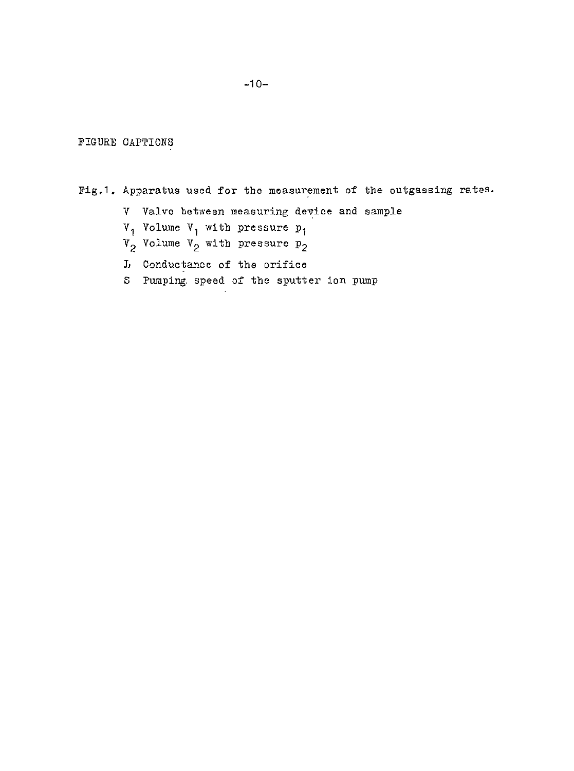FIGURE CAPTIONS

Fig.1. Apparatus used for the measurement of the outgassing rates.

V Valve between measuring device and sample

 $V_1$  Volume  $V_1$  with pressure  $p_1$ 

- $V_2$  Volume  $V_2$  with pressure  $P_2$
- L Conductance of the orifice
- S Pumping, speed of the sputter ion pump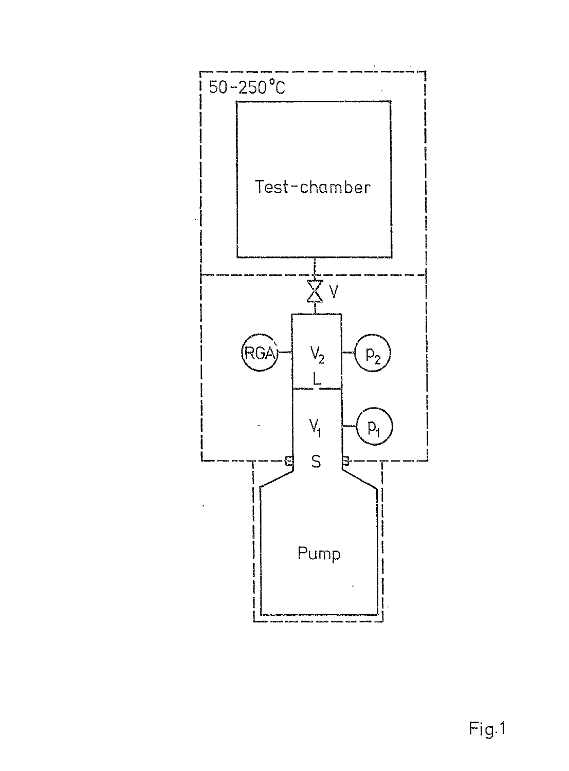